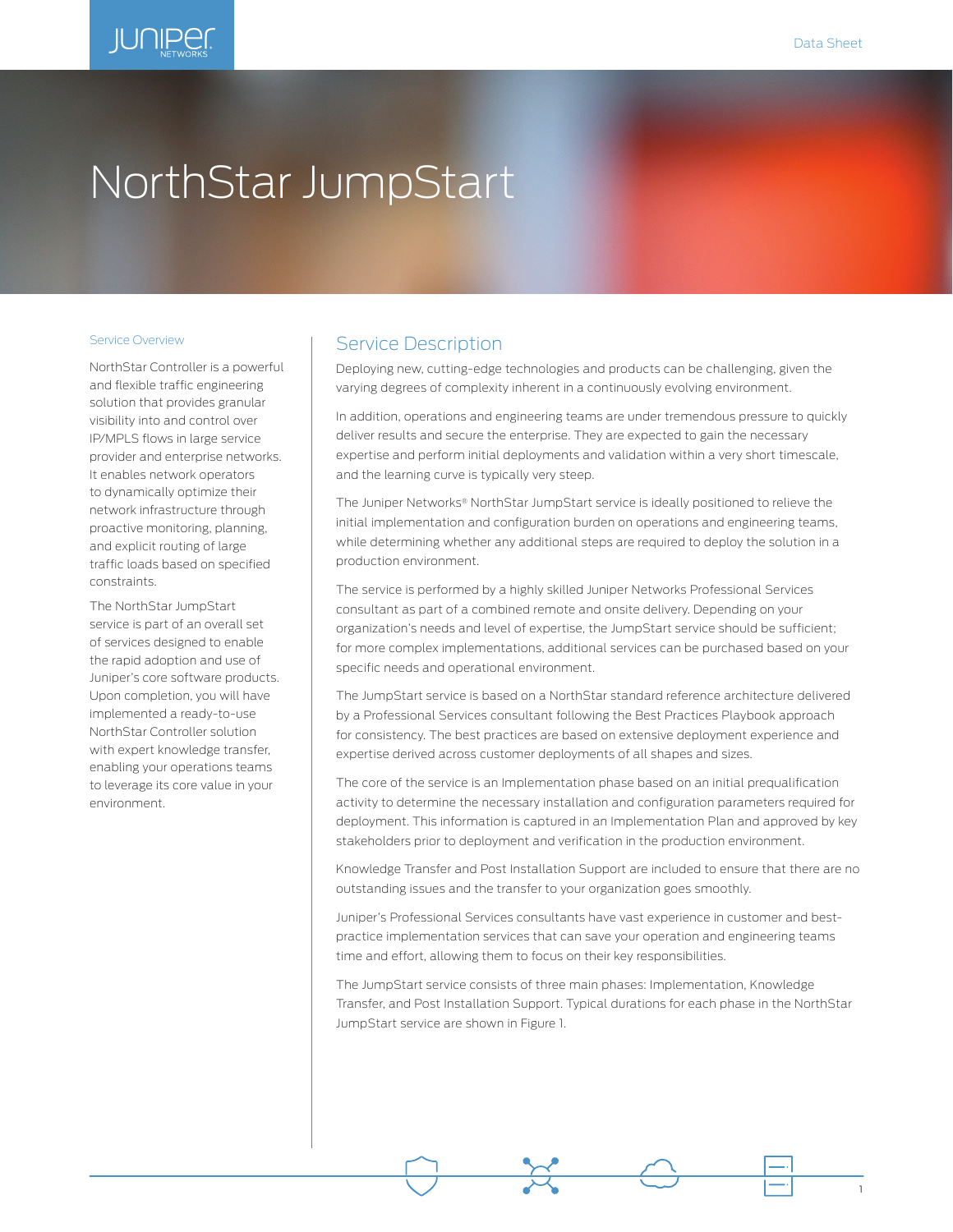1

# **IUNIPEC**

# NorthStar JumpStart

#### Service Overview

NorthStar Controller is a powerful and flexible traffic engineering solution that provides granular visibility into and control over IP/MPLS flows in large service provider and enterprise networks. It enables network operators to dynamically optimize their network infrastructure through proactive monitoring, planning, and explicit routing of large traffic loads based on specified constraints.

The NorthStar JumpStart service is part of an overall set of services designed to enable the rapid adoption and use of Juniper's core software products. Upon completion, you will have implemented a ready-to-use NorthStar Controller solution with expert knowledge transfer, enabling your operations teams to leverage its core value in your environment.

#### Service Description

Deploying new, cutting-edge technologies and products can be challenging, given the varying degrees of complexity inherent in a continuously evolving environment.

In addition, operations and engineering teams are under tremendous pressure to quickly deliver results and secure the enterprise. They are expected to gain the necessary expertise and perform initial deployments and validation within a very short timescale, and the learning curve is typically very steep.

The Juniper Networks® NorthStar JumpStart service is ideally positioned to relieve the initial implementation and configuration burden on operations and engineering teams, while determining whether any additional steps are required to deploy the solution in a production environment.

The service is performed by a highly skilled Juniper Networks Professional Services consultant as part of a combined remote and onsite delivery. Depending on your organization's needs and level of expertise, the JumpStart service should be sufficient; for more complex implementations, additional services can be purchased based on your specific needs and operational environment.

The JumpStart service is based on a NorthStar standard reference architecture delivered by a Professional Services consultant following the Best Practices Playbook approach for consistency. The best practices are based on extensive deployment experience and expertise derived across customer deployments of all shapes and sizes.

The core of the service is an Implementation phase based on an initial prequalification activity to determine the necessary installation and configuration parameters required for deployment. This information is captured in an Implementation Plan and approved by key stakeholders prior to deployment and verification in the production environment.

Knowledge Transfer and Post Installation Support are included to ensure that there are no outstanding issues and the transfer to your organization goes smoothly.

Juniper's Professional Services consultants have vast experience in customer and bestpractice implementation services that can save your operation and engineering teams time and effort, allowing them to focus on their key responsibilities.

The JumpStart service consists of three main phases: Implementation, Knowledge Transfer, and Post Installation Support. Typical durations for each phase in the NorthStar JumpStart service are shown in Figure 1.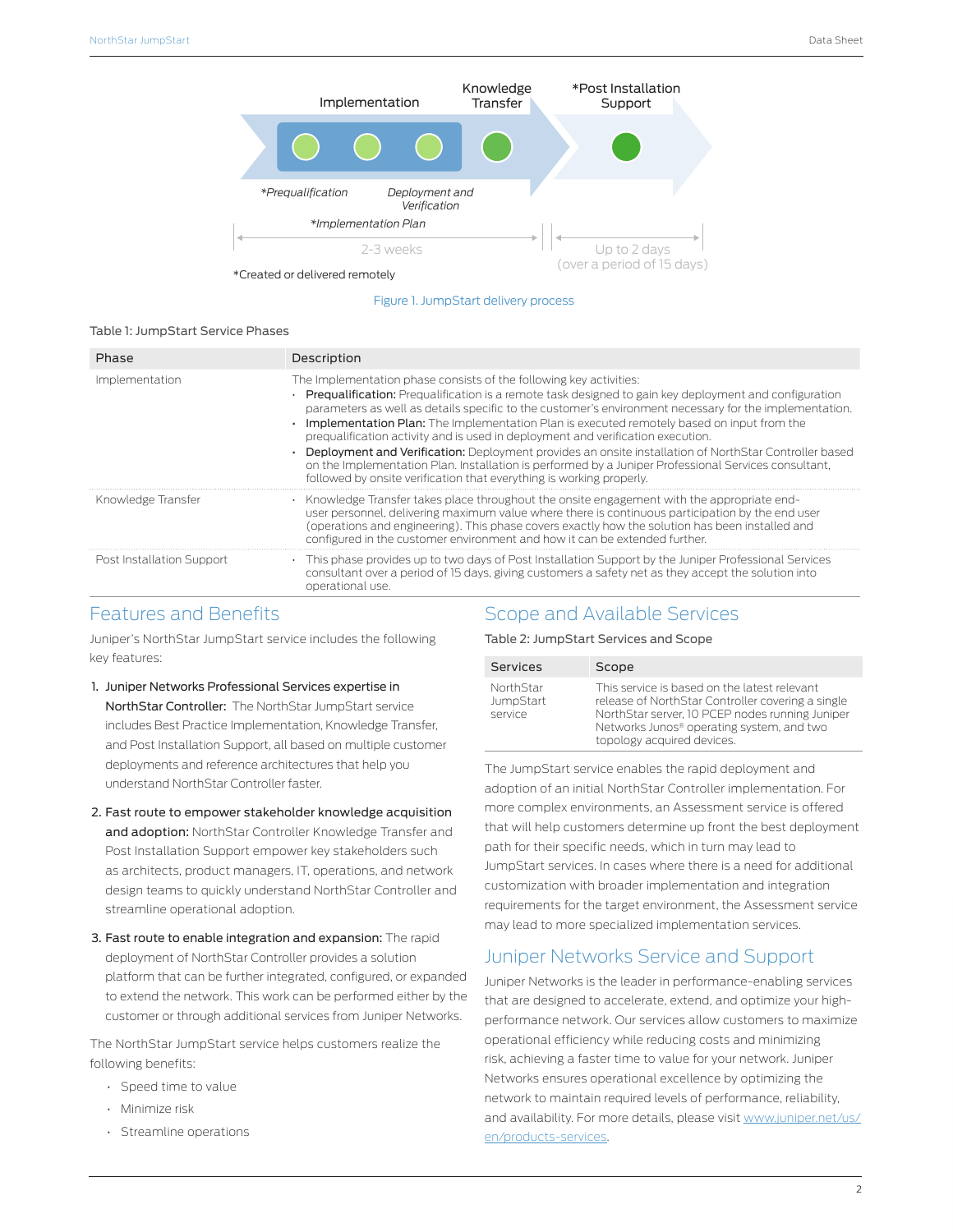

Figure 1. JumpStart delivery process

#### Table 1: JumpStart Service Phases

| Phase                     | Description                                                                                                                                                                                                                                                                                                                                                                                                                                                                                                                                                                                                                                                                                                                                                           |
|---------------------------|-----------------------------------------------------------------------------------------------------------------------------------------------------------------------------------------------------------------------------------------------------------------------------------------------------------------------------------------------------------------------------------------------------------------------------------------------------------------------------------------------------------------------------------------------------------------------------------------------------------------------------------------------------------------------------------------------------------------------------------------------------------------------|
| Implementation            | The Implementation phase consists of the following key activities:<br>Prequalification: Prequalification is a remote task designed to gain key deployment and configuration<br>parameters as well as details specific to the customer's environment necessary for the implementation.<br><b>Implementation Plan:</b> The Implementation Plan is executed remotely based on input from the<br>prequalification activity and is used in deployment and verification execution.<br>Deployment and Verification: Deployment provides an onsite installation of NorthStar Controller based<br>on the Implementation Plan. Installation is performed by a Juniper Professional Services consultant,<br>followed by onsite verification that everything is working properly. |
| Knowledge Transfer        | Knowledge Transfer takes place throughout the onsite engagement with the appropriate end-<br>$\cdot$<br>user personnel, delivering maximum value where there is continuous participation by the end user<br>(operations and engineering). This phase covers exactly how the solution has been installed and<br>configured in the customer environment and how it can be extended further.                                                                                                                                                                                                                                                                                                                                                                             |
| Post Installation Support | This phase provides up to two days of Post Installation Support by the Juniper Professional Services<br>consultant over a period of 15 days, giving customers a safety net as they accept the solution into<br>operational use.                                                                                                                                                                                                                                                                                                                                                                                                                                                                                                                                       |

#### Features and Benefits

Juniper's NorthStar JumpStart service includes the following key features:

- 1. Juniper Networks Professional Services expertise in NorthStar Controller: The NorthStar JumpStart service includes Best Practice Implementation, Knowledge Transfer, and Post Installation Support, all based on multiple customer deployments and reference architectures that help you understand NorthStar Controller faster.
- 2. Fast route to empower stakeholder knowledge acquisition and adoption: NorthStar Controller Knowledge Transfer and Post Installation Support empower key stakeholders such as architects, product managers, IT, operations, and network design teams to quickly understand NorthStar Controller and streamline operational adoption.
- 3. Fast route to enable integration and expansion: The rapid deployment of NorthStar Controller provides a solution platform that can be further integrated, configured, or expanded to extend the network. This work can be performed either by the customer or through additional services from Juniper Networks.

The NorthStar JumpStart service helps customers realize the following benefits:

- Speed time to value
- Minimize risk
- Streamline operations

#### Scope and Available Services

Table 2: JumpStart Services and Scope

| <b>Services</b>                          | Scope                                                                                                                                                                                                                                       |
|------------------------------------------|---------------------------------------------------------------------------------------------------------------------------------------------------------------------------------------------------------------------------------------------|
| <b>NorthStar</b><br>JumpStart<br>service | This service is based on the latest relevant<br>release of NorthStar Controller covering a single<br>NorthStar server, 10 PCEP nodes running Juniper<br>Networks Junos <sup>®</sup> operating system, and two<br>topology acquired devices. |

The JumpStart service enables the rapid deployment and adoption of an initial NorthStar Controller implementation. For more complex environments, an Assessment service is offered that will help customers determine up front the best deployment path for their specific needs, which in turn may lead to JumpStart services. In cases where there is a need for additional customization with broader implementation and integration requirements for the target environment, the Assessment service may lead to more specialized implementation services.

## Juniper Networks Service and Support

Juniper Networks is the leader in performance-enabling services that are designed to accelerate, extend, and optimize your highperformance network. Our services allow customers to maximize operational efficiency while reducing costs and minimizing risk, achieving a faster time to value for your network. Juniper Networks ensures operational excellence by optimizing the network to maintain required levels of performance, reliability, and availability. For more details, please visit [www.juniper.net/us/](http://www.juniper.net/us/en/products-services) [en/products-services](http://www.juniper.net/us/en/products-services).